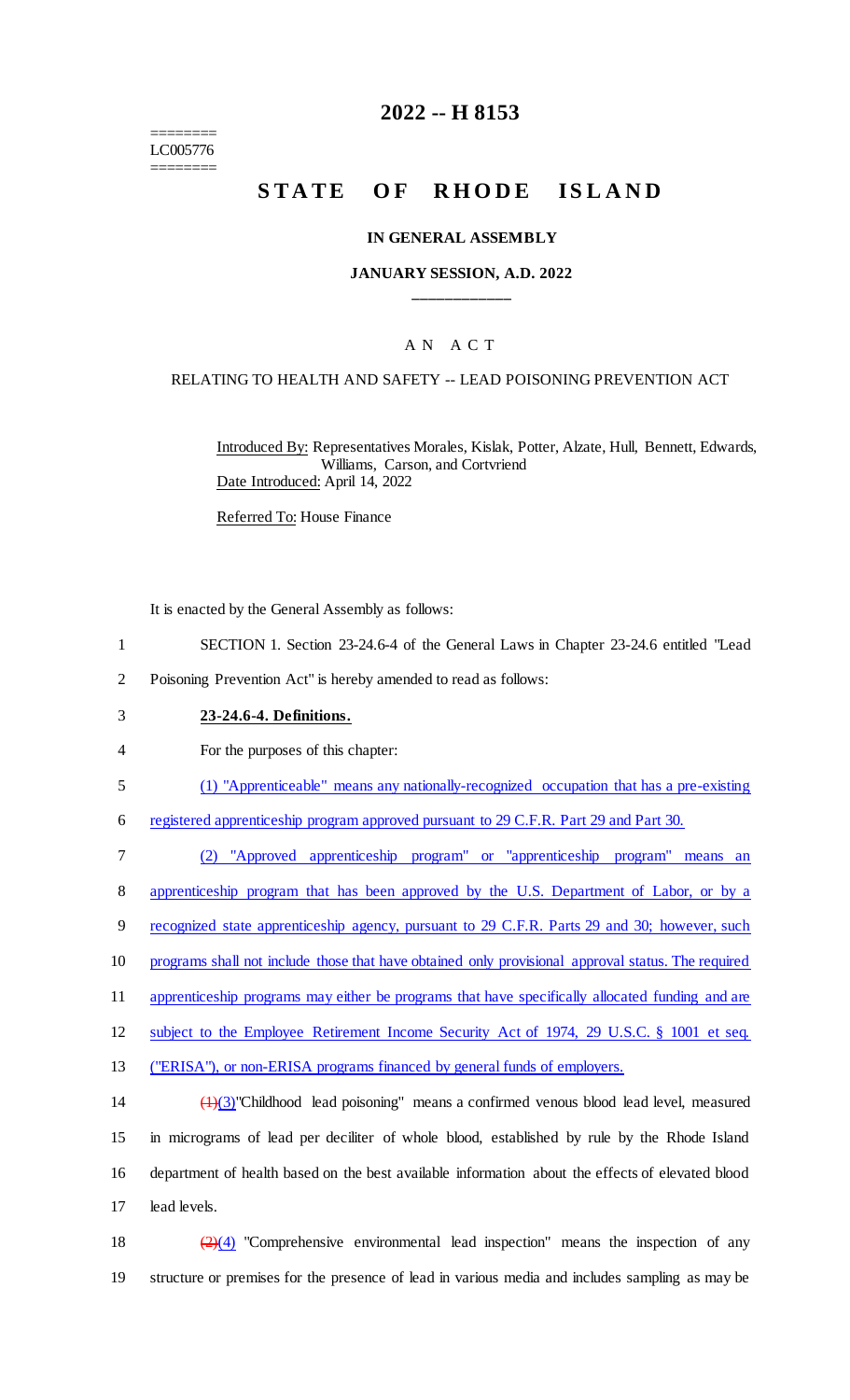======== LC005776 ========

# **2022 -- H 8153**

# **STATE OF RHODE ISLAND**

#### **IN GENERAL ASSEMBLY**

### **JANUARY SESSION, A.D. 2022 \_\_\_\_\_\_\_\_\_\_\_\_**

### A N A C T

#### RELATING TO HEALTH AND SAFETY -- LEAD POISONING PREVENTION ACT

Introduced By: Representatives Morales, Kislak, Potter, Alzate, Hull, Bennett, Edwards, Williams, Carson, and Cortvriend Date Introduced: April 14, 2022

Referred To: House Finance

It is enacted by the General Assembly as follows:

- 1 SECTION 1. Section 23-24.6-4 of the General Laws in Chapter 23-24.6 entitled "Lead
- 2 Poisoning Prevention Act" is hereby amended to read as follows:
- 3 **23-24.6-4. Definitions.**
- 4 For the purposes of this chapter:
- 5 (1) "Apprenticeable" means any nationally-recognized occupation that has a pre-existing

6 registered apprenticeship program approved pursuant to 29 C.F.R. Part 29 and Part 30.

 (2) "Approved apprenticeship program" or "apprenticeship program" means an apprenticeship program that has been approved by the U.S. Department of Labor, or by a 9 recognized state apprenticeship agency, pursuant to 29 C.F.R. Parts 29 and 30; however, such programs shall not include those that have obtained only provisional approval status. The required 11 apprenticeship programs may either be programs that have specifically allocated funding and are subject to the Employee Retirement Income Security Act of 1974, 29 U.S.C. § 1001 et seq.

13 ("ERISA"), or non-ERISA programs financed by general funds of employers.

 (1)(3)"Childhood lead poisoning" means a confirmed venous blood lead level, measured in micrograms of lead per deciliter of whole blood, established by rule by the Rhode Island department of health based on the best available information about the effects of elevated blood lead levels.

18  $\left(\frac{2}{4}\right)$  "Comprehensive environmental lead inspection" means the inspection of any 19 structure or premises for the presence of lead in various media and includes sampling as may be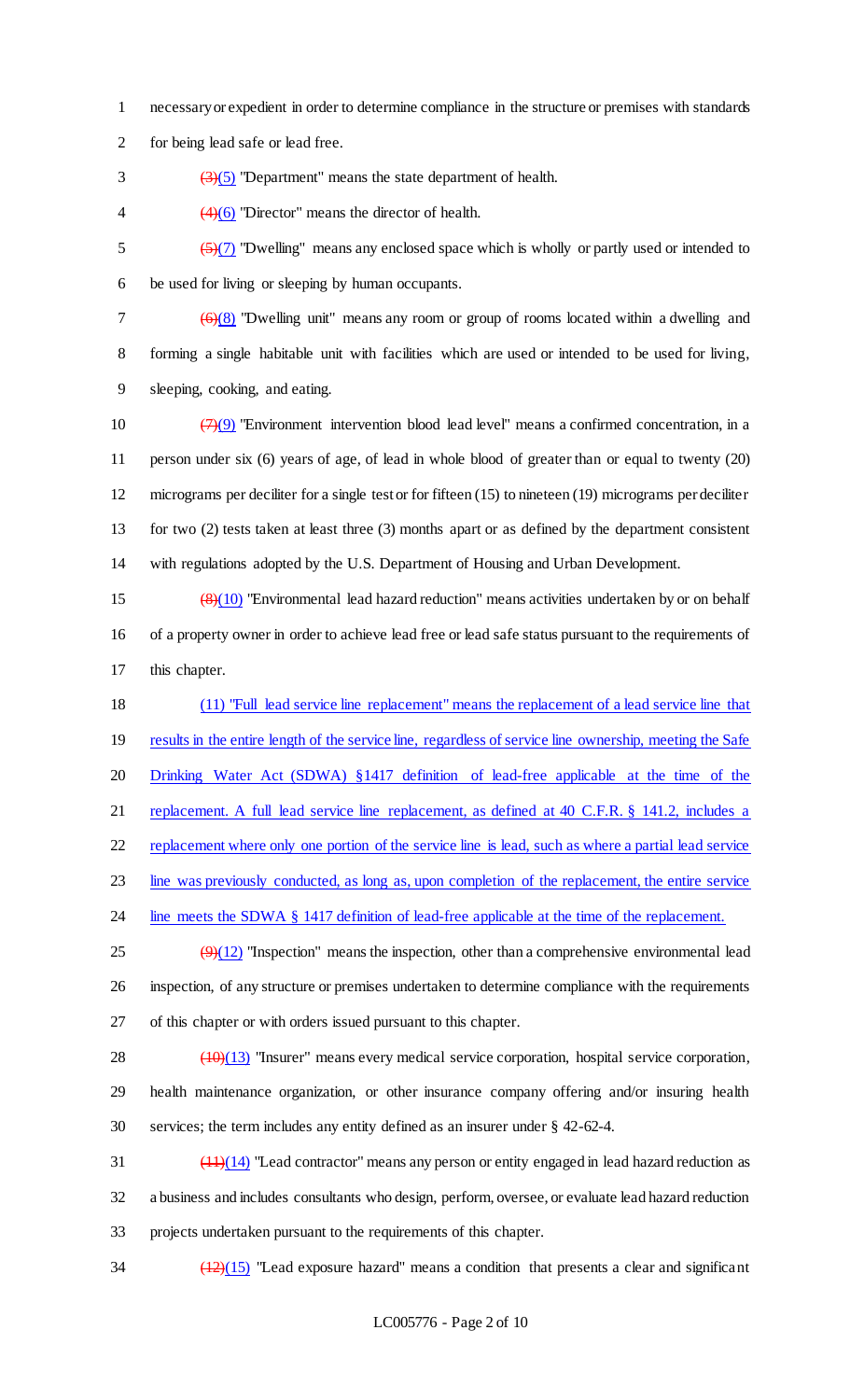- 1 necessary or expedient in order to determine compliance in the structure or premises with standards
- 2 for being lead safe or lead free.
- $\frac{3}{5}$  (3)(5) "Department" means the state department of health.
- 4  $\left(4\right)(6)$  "Director" means the director of health.

 $\frac{5}{7}$  (5)(7) "Dwelling" means any enclosed space which is wholly or partly used or intended to 6 be used for living or sleeping by human occupants.

 $7 \left( \frac{6}{6} \right)$  "Dwelling unit" means any room or group of rooms located within a dwelling and 8 forming a single habitable unit with facilities which are used or intended to be used for living, 9 sleeping, cooking, and eating.

 $(7)(9)$  "Environment intervention blood lead level" means a confirmed concentration, in a person under six (6) years of age, of lead in whole blood of greater than or equal to twenty (20) micrograms per deciliter for a single test or for fifteen (15) to nineteen (19) micrograms per deciliter for two (2) tests taken at least three (3) months apart or as defined by the department consistent with regulations adopted by the U.S. Department of Housing and Urban Development.

15  $\left(\frac{8}{10}\right)$  "Environmental lead hazard reduction" means activities undertaken by or on behalf 16 of a property owner in order to achieve lead free or lead safe status pursuant to the requirements of 17 this chapter.

18 (11) "Full lead service line replacement" means the replacement of a lead service line that 19 results in the entire length of the service line, regardless of service line ownership, meeting the Safe 20 Drinking Water Act (SDWA) §1417 definition of lead-free applicable at the time of the 21 replacement. A full lead service line replacement, as defined at 40 C.F.R. § 141.2, includes a 22 replacement where only one portion of the service line is lead, such as where a partial lead service

23 line was previously conducted, as long as, upon completion of the replacement, the entire service

24 line meets the SDWA § 1417 definition of lead-free applicable at the time of the replacement.

 $\left(\frac{9}{12}\right)$  "Inspection" means the inspection, other than a comprehensive environmental lead 26 inspection, of any structure or premises undertaken to determine compliance with the requirements 27 of this chapter or with orders issued pursuant to this chapter.

28 (10)(13) "Insurer" means every medical service corporation, hospital service corporation, 29 health maintenance organization, or other insurance company offering and/or insuring health 30 services; the term includes any entity defined as an insurer under § 42-62-4.

 $\frac{(11)(14)}{120}$  "Lead contractor" means any person or entity engaged in lead hazard reduction as 32 a business and includes consultants who design, perform, oversee, or evaluate lead hazard reduction 33 projects undertaken pursuant to the requirements of this chapter.

 $\frac{(12)(15)}{2}$  "Lead exposure hazard" means a condition that presents a clear and significant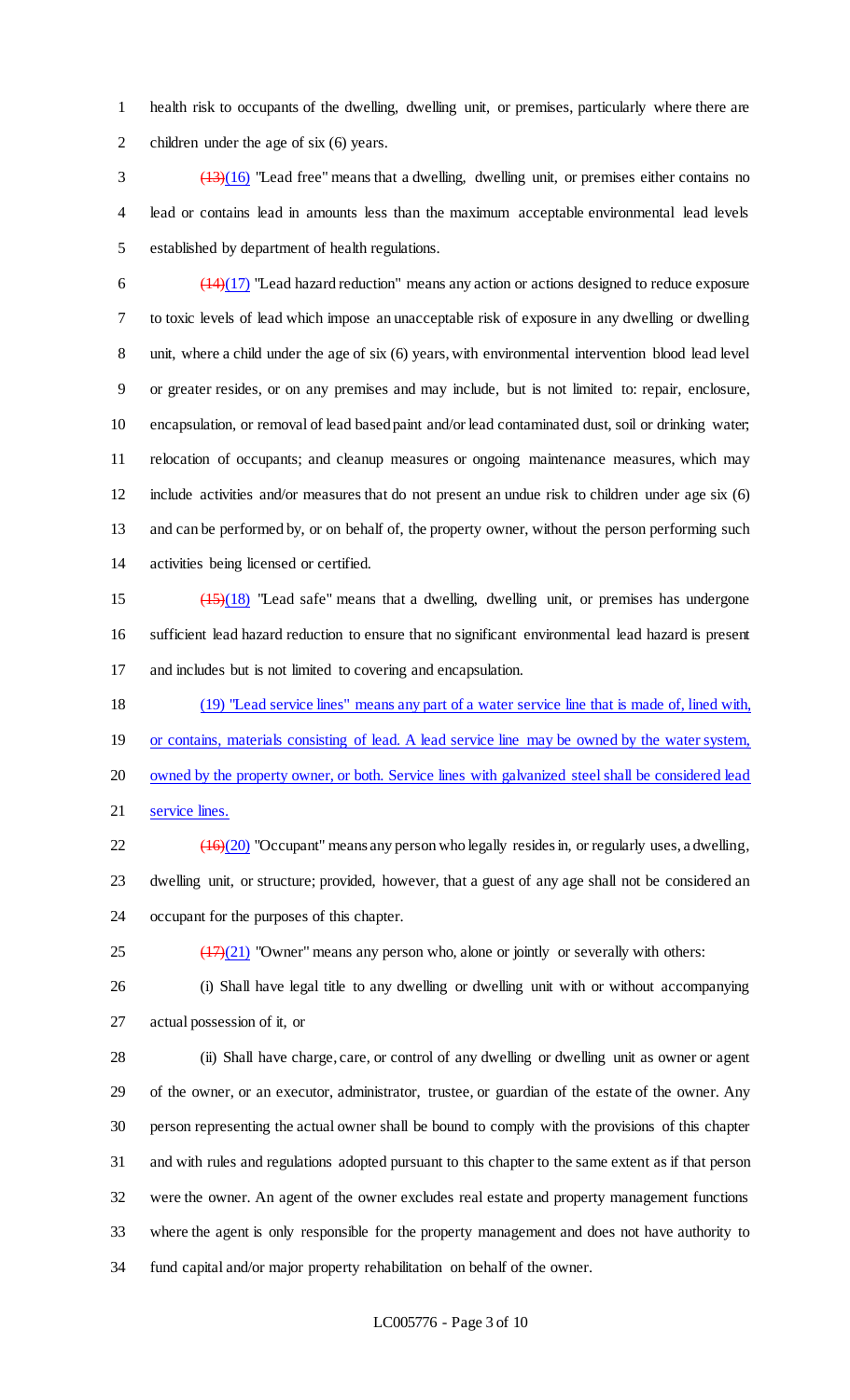health risk to occupants of the dwelling, dwelling unit, or premises, particularly where there are 2 children under the age of six (6) years.

 (13)(16) "Lead free" means that a dwelling, dwelling unit, or premises either contains no lead or contains lead in amounts less than the maximum acceptable environmental lead levels established by department of health regulations.

 $\frac{(14)(17)}{2}$  "Lead hazard reduction" means any action or actions designed to reduce exposure to toxic levels of lead which impose an unacceptable risk of exposure in any dwelling or dwelling unit, where a child under the age of six (6) years, with environmental intervention blood lead level or greater resides, or on any premises and may include, but is not limited to: repair, enclosure, encapsulation, or removal of lead based paint and/or lead contaminated dust, soil or drinking water; relocation of occupants; and cleanup measures or ongoing maintenance measures, which may include activities and/or measures that do not present an undue risk to children under age six (6) and can be performed by, or on behalf of, the property owner, without the person performing such activities being licensed or certified.

 (15)(18) "Lead safe" means that a dwelling, dwelling unit, or premises has undergone sufficient lead hazard reduction to ensure that no significant environmental lead hazard is present and includes but is not limited to covering and encapsulation.

 (19) "Lead service lines" means any part of a water service line that is made of, lined with, 19 or contains, materials consisting of lead. A lead service line may be owned by the water system, 20 owned by the property owner, or both. Service lines with galvanized steel shall be considered lead 21 service lines.

22  $(16)(20)$  "Occupant" means any person who legally resides in, or regularly uses, a dwelling, dwelling unit, or structure; provided, however, that a guest of any age shall not be considered an occupant for the purposes of this chapter.

 $\left(\frac{17}{21}\right)$  "Owner" means any person who, alone or jointly or severally with others:

 (i) Shall have legal title to any dwelling or dwelling unit with or without accompanying actual possession of it, or

 (ii) Shall have charge, care, or control of any dwelling or dwelling unit as owner or agent of the owner, or an executor, administrator, trustee, or guardian of the estate of the owner. Any person representing the actual owner shall be bound to comply with the provisions of this chapter and with rules and regulations adopted pursuant to this chapter to the same extent as if that person were the owner. An agent of the owner excludes real estate and property management functions where the agent is only responsible for the property management and does not have authority to fund capital and/or major property rehabilitation on behalf of the owner.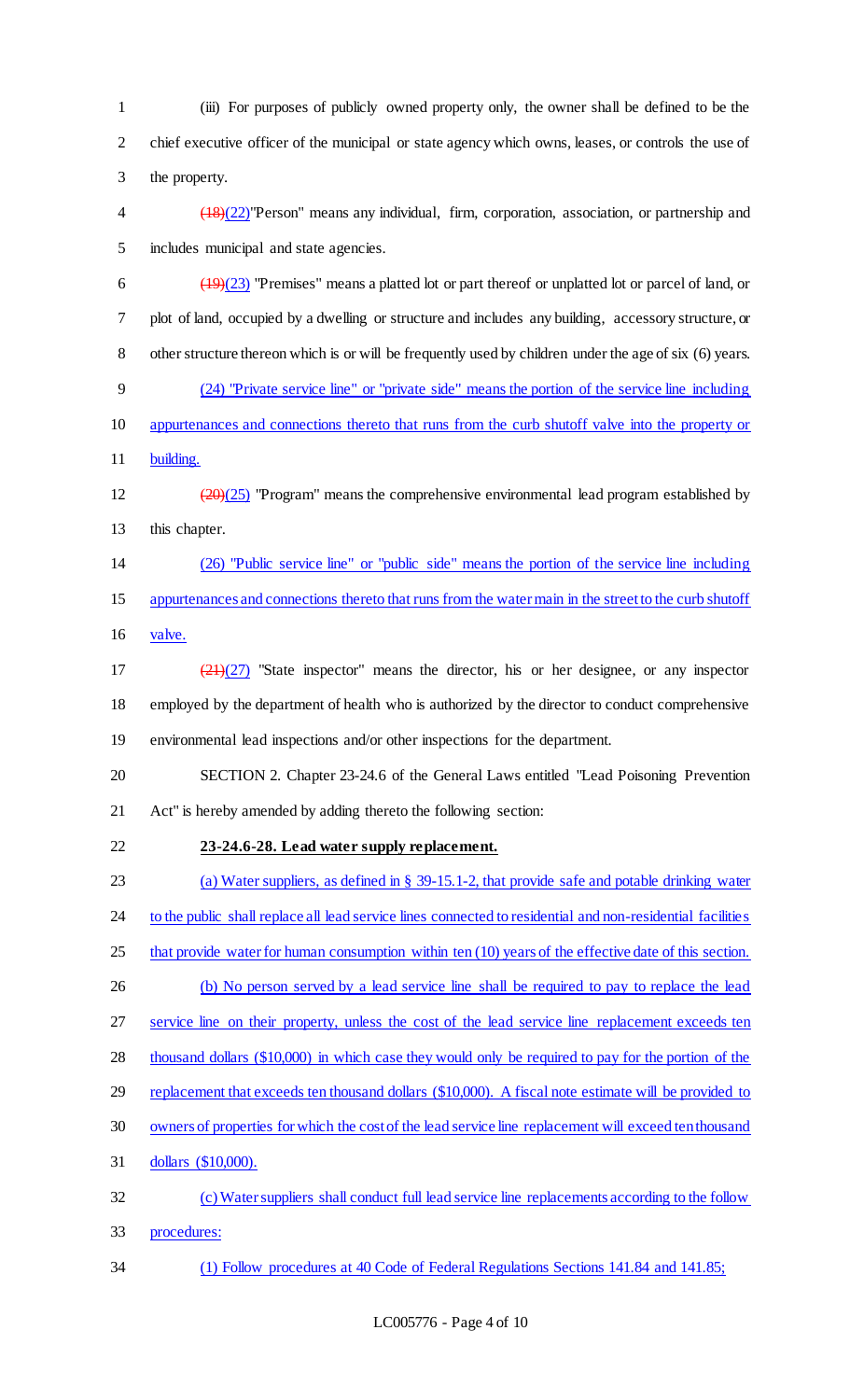(iii) For purposes of publicly owned property only, the owner shall be defined to be the chief executive officer of the municipal or state agency which owns, leases, or controls the use of the property.

 (18)(22)"Person" means any individual, firm, corporation, association, or partnership and includes municipal and state agencies.

 $\left(\frac{(19)(23)}{(19)(23)}\right)$  "Premises" means a platted lot or part thereof or unplatted lot or parcel of land, or plot of land, occupied by a dwelling or structure and includes any building, accessory structure, or other structure thereon which is or will be frequently used by children under the age of six (6) years. (24) "Private service line" or "private side" means the portion of the service line including appurtenances and connections thereto that runs from the curb shutoff valve into the property or 11 building.

12  $\left(20\right)(25)$  "Program" means the comprehensive environmental lead program established by this chapter.

 (26) "Public service line" or "public side" means the portion of the service line including appurtenances and connections thereto that runs from the water main in the street to the curb shutoff

valve.

 (21)(27) "State inspector" means the director, his or her designee, or any inspector employed by the department of health who is authorized by the director to conduct comprehensive environmental lead inspections and/or other inspections for the department.

 SECTION 2. Chapter 23-24.6 of the General Laws entitled "Lead Poisoning Prevention Act" is hereby amended by adding thereto the following section:

# **23-24.6-28. Lead water supply replacement.**

(a) Water suppliers, as defined in § 39-15.1-2, that provide safe and potable drinking water

24 to the public shall replace all lead service lines connected to residential and non-residential facilities

- 25 that provide water for human consumption within ten (10) years of the effective date of this section.
- 26 (b) No person served by a lead service line shall be required to pay to replace the lead

27 service line on their property, unless the cost of the lead service line replacement exceeds ten

thousand dollars (\$10,000) in which case they would only be required to pay for the portion of the

- 29 replacement that exceeds ten thousand dollars (\$10,000). A fiscal note estimate will be provided to
- owners of properties for which the cost of the lead service line replacement will exceed ten thousand
- dollars (\$10,000).
- (c) Water suppliers shall conduct full lead service line replacements according to the follow procedures:
- (1) Follow procedures at 40 Code of Federal Regulations Sections 141.84 and 141.85;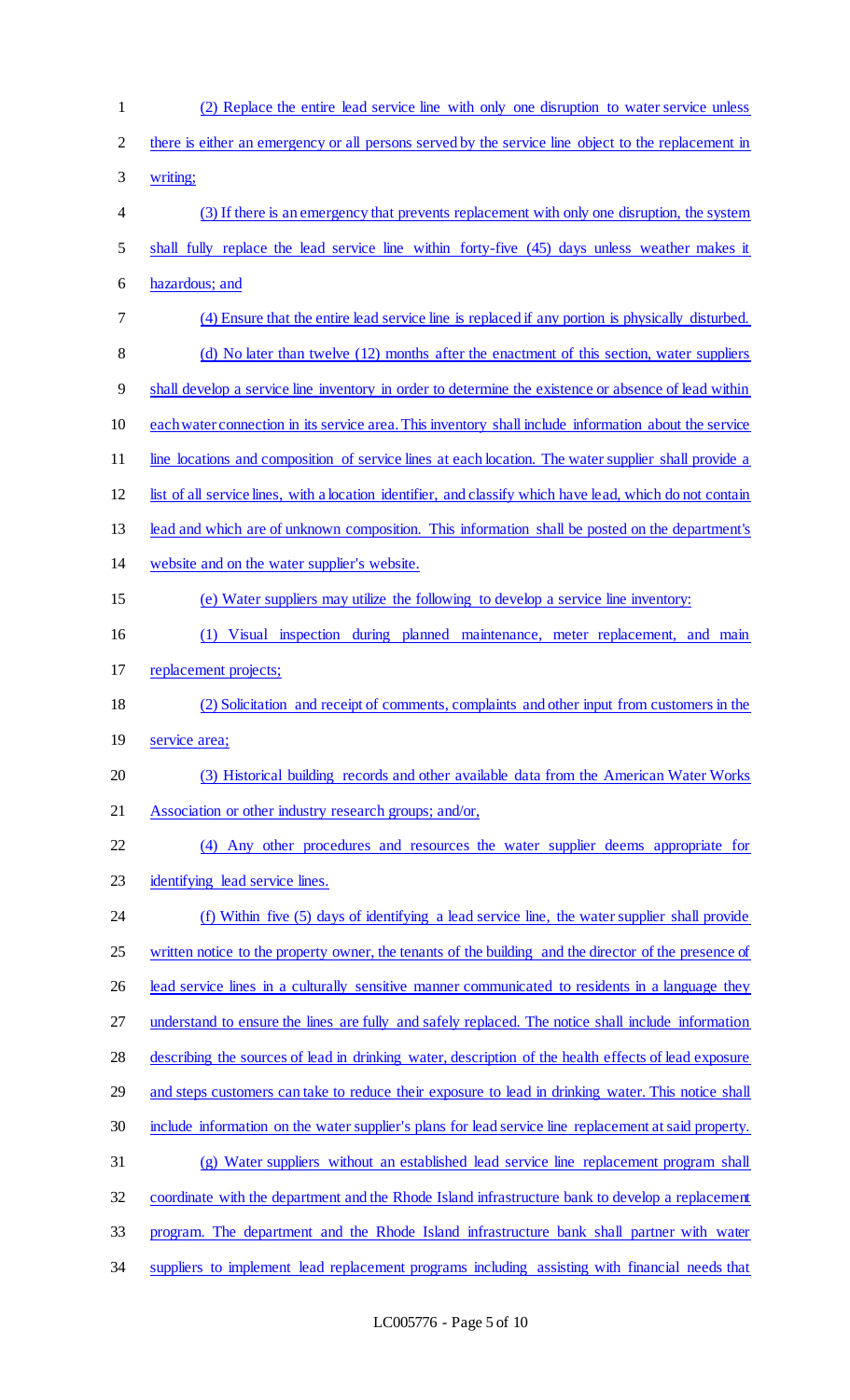| $\mathbf{1}$ | (2) Replace the entire lead service line with only one disruption to water service unless                 |
|--------------|-----------------------------------------------------------------------------------------------------------|
| 2            | there is either an emergency or all persons served by the service line object to the replacement in       |
| 3            | writing;                                                                                                  |
| 4            | (3) If there is an emergency that prevents replacement with only one disruption, the system               |
| 5            | shall fully replace the lead service line within forty-five (45) days unless weather makes it             |
| 6            | hazardous; and                                                                                            |
| 7            | (4) Ensure that the entire lead service line is replaced if any portion is physically disturbed.          |
| 8            | (d) No later than twelve (12) months after the enactment of this section, water suppliers                 |
| 9            | shall develop a service line inventory in order to determine the existence or absence of lead within      |
| 10           | each water connection in its service area. This inventory shall include information about the service     |
| 11           | line locations and composition of service lines at each location. The water supplier shall provide a      |
| 12           | list of all service lines, with a location identifier, and classify which have lead, which do not contain |
| 13           | lead and which are of unknown composition. This information shall be posted on the department's           |
| 14           | website and on the water supplier's website.                                                              |
| 15           | (e) Water suppliers may utilize the following to develop a service line inventory:                        |
| 16           | (1) Visual inspection during planned maintenance, meter replacement, and main                             |
| 17           | replacement projects;                                                                                     |
| 18           | (2) Solicitation and receipt of comments, complaints and other input from customers in the                |
| 19           | service area;                                                                                             |
| 20           | (3) Historical building records and other available data from the American Water Works                    |
| 21           | Association or other industry research groups; and/or,                                                    |
| 22           | (4) Any other procedures and resources the water supplier deems appropriate for                           |
| 23           | identifying lead service lines.                                                                           |
| 24           | (f) Within five (5) days of identifying a lead service line, the water supplier shall provide             |
| 25           | written notice to the property owner, the tenants of the building and the director of the presence of     |
| 26           | lead service lines in a culturally sensitive manner communicated to residents in a language they          |
| 27           | understand to ensure the lines are fully and safely replaced. The notice shall include information        |
| 28           | describing the sources of lead in drinking water, description of the health effects of lead exposure      |
| 29           | and steps customers can take to reduce their exposure to lead in drinking water. This notice shall        |
| 30           | include information on the water supplier's plans for lead service line replacement at said property.     |
| 31           | (g) Water suppliers without an established lead service line replacement program shall                    |
| 32           | coordinate with the department and the Rhode Island infrastructure bank to develop a replacement          |
| 33           | program. The department and the Rhode Island infrastructure bank shall partner with water                 |
| 34           | suppliers to implement lead replacement programs including assisting with financial needs that            |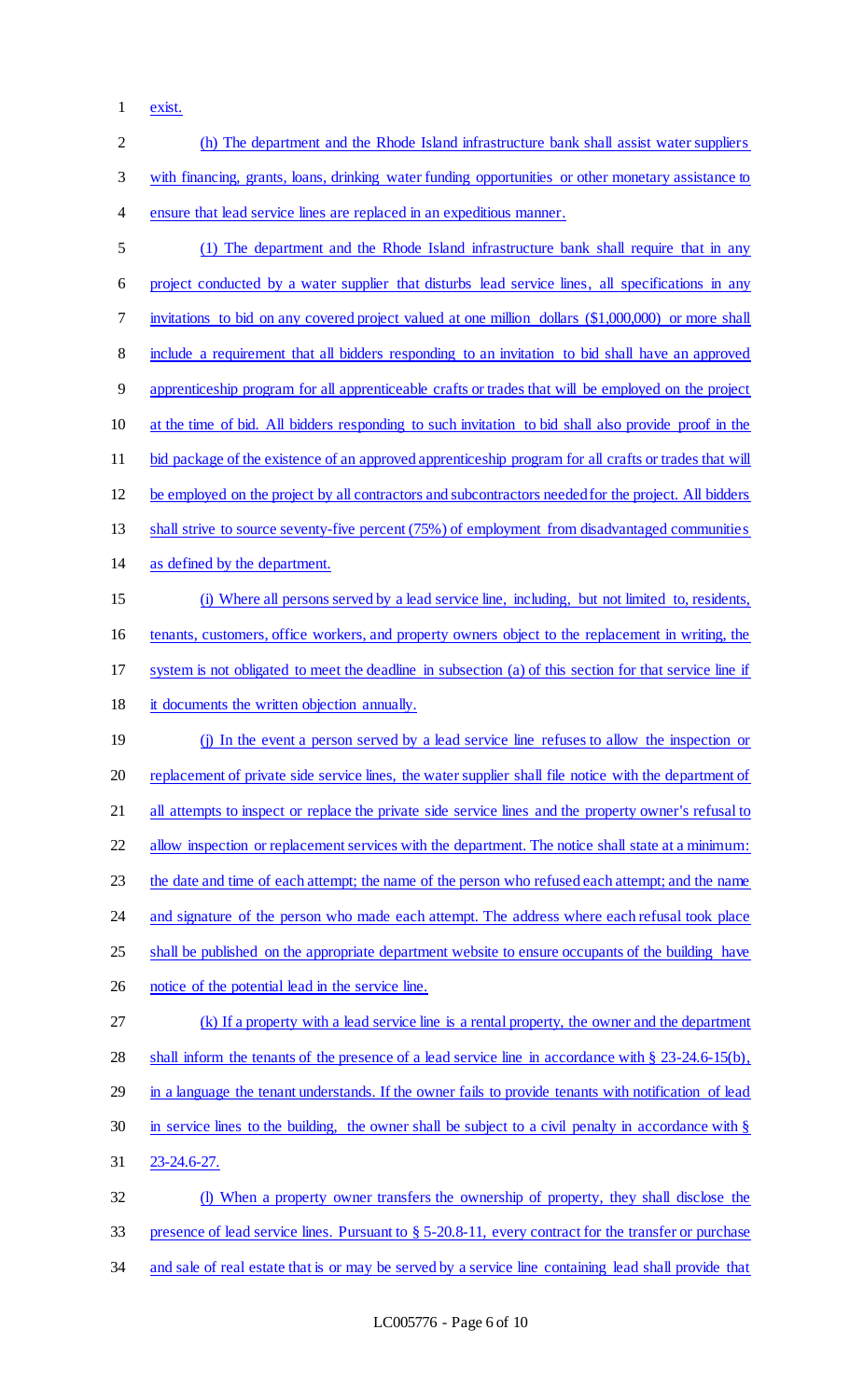exist.

| $\overline{2}$ | (h) The department and the Rhode Island infrastructure bank shall assist water suppliers                                 |
|----------------|--------------------------------------------------------------------------------------------------------------------------|
| 3              | with financing, grants, loans, drinking water funding opportunities or other monetary assistance to                      |
| $\overline{4}$ | ensure that lead service lines are replaced in an expeditious manner.                                                    |
| 5              | (1) The department and the Rhode Island infrastructure bank shall require that in any                                    |
| 6              | project conducted by a water supplier that disturbs lead service lines, all specifications in any                        |
| 7              | invitations to bid on any covered project valued at one million dollars (\$1,000,000) or more shall                      |
| $\,8\,$        | include a requirement that all bidders responding to an invitation to bid shall have an approved                         |
| 9              | apprenticeship program for all apprenticeable crafts or trades that will be employed on the project                      |
| 10             | at the time of bid. All bidders responding to such invitation to bid shall also provide proof in the                     |
| 11             | bid package of the existence of an approved apprenticeship program for all crafts or trades that will                    |
| 12             | be employed on the project by all contractors and subcontractors needed for the project. All bidders                     |
| 13             | shall strive to source seventy-five percent (75%) of employment from disadvantaged communities                           |
| 14             | as defined by the department.                                                                                            |
| 15             | (i) Where all persons served by a lead service line, including, but not limited to, residents,                           |
| 16             | tenants, customers, office workers, and property owners object to the replacement in writing, the                        |
| 17             | system is not obligated to meet the deadline in subsection (a) of this section for that service line if                  |
| 18             | it documents the written objection annually.                                                                             |
| 19             | (j) In the event a person served by a lead service line refuses to allow the inspection or                               |
| 20             | replacement of private side service lines, the water supplier shall file notice with the department of                   |
| 21             | all attempts to inspect or replace the private side service lines and the property owner's refusal to                    |
| 22             | allow inspection or replacement services with the department. The notice shall state at a minimum:                       |
| 23             | the date and time of each attempt; the name of the person who refused each attempt; and the name                         |
| 24             | and signature of the person who made each attempt. The address where each refusal took place                             |
| 25             | shall be published on the appropriate department website to ensure occupants of the building have                        |
| 26             | notice of the potential lead in the service line.                                                                        |
| 27             | (k) If a property with a lead service line is a rental property, the owner and the department                            |
| 28             | shall inform the tenants of the presence of a lead service line in accordance with $\S$ 23-24.6-15(b),                   |
| 29             | in a language the tenant understands. If the owner fails to provide tenants with notification of lead                    |
| 30             | in service lines to the building, the owner shall be subject to a civil penalty in accordance with $\S$                  |
| 31             | 23-24.6-27.                                                                                                              |
| 32             | (I) When a property owner transfers the ownership of property, they shall disclose the                                   |
| 33             | presence of lead service lines. Pursuant to $\S 5{\text -}20.8{\text -}11$ , every contract for the transfer or purchase |
| 34             | and sale of real estate that is or may be served by a service line containing lead shall provide that                    |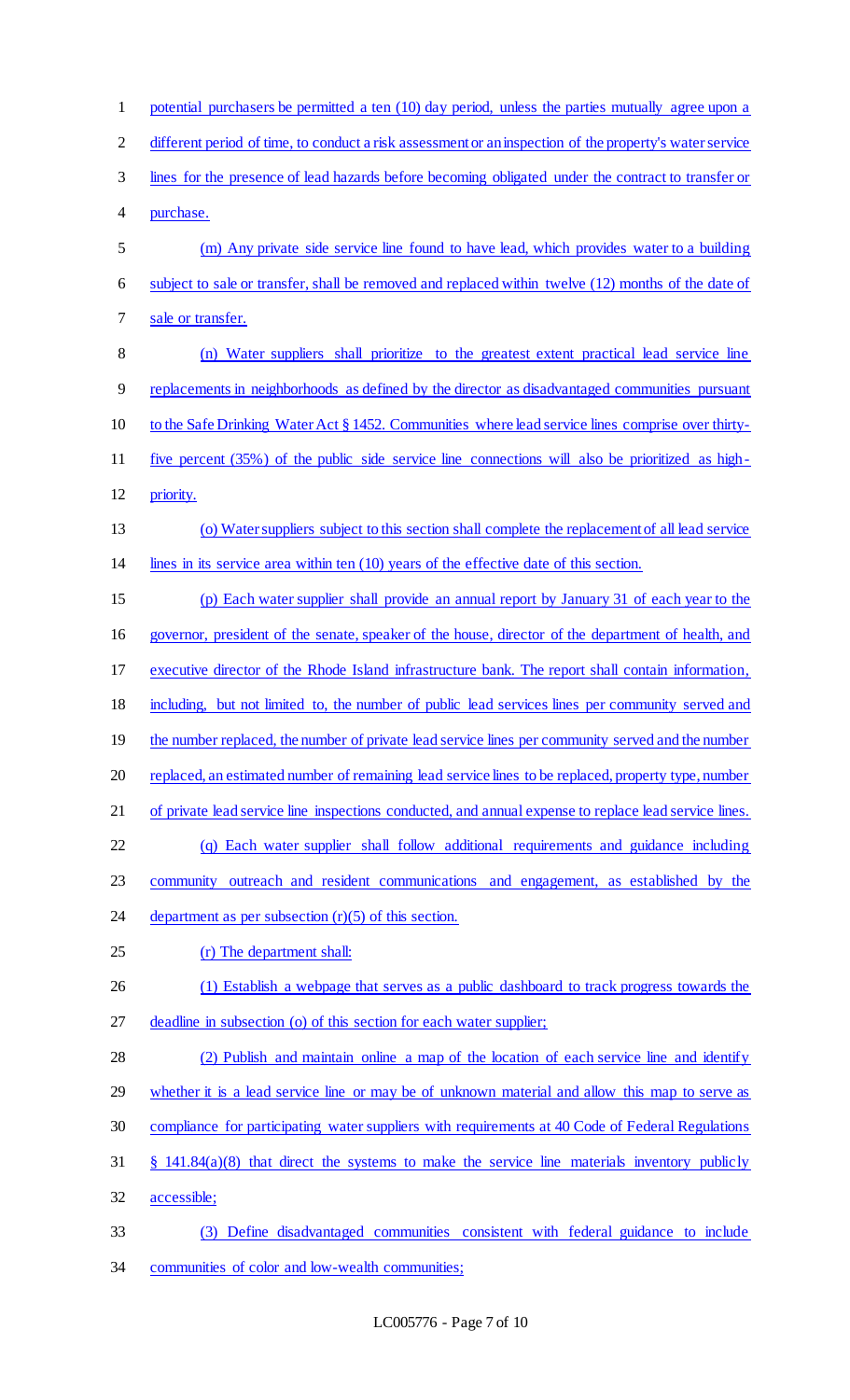| $\mathbf{1}$   | potential purchasers be permitted a ten (10) day period, unless the parties mutually agree upon a       |
|----------------|---------------------------------------------------------------------------------------------------------|
| $\overline{c}$ | different period of time, to conduct a risk assessment or an inspection of the property's water service |
| 3              | lines for the presence of lead hazards before becoming obligated under the contract to transfer or      |
| 4              | purchase.                                                                                               |
| 5              | (m) Any private side service line found to have lead, which provides water to a building                |
| 6              | subject to sale or transfer, shall be removed and replaced within twelve (12) months of the date of     |
| 7              | sale or transfer.                                                                                       |
| 8              | (n) Water suppliers shall prioritize to the greatest extent practical lead service line                 |
| 9              | replacements in neighborhoods as defined by the director as disadvantaged communities pursuant          |
| 10             | to the Safe Drinking Water Act § 1452. Communities where lead service lines comprise over thirty-       |
| 11             | five percent (35%) of the public side service line connections will also be prioritized as high-        |
| 12             | priority.                                                                                               |
| 13             | (o) Water suppliers subject to this section shall complete the replacement of all lead service          |
| 14             | lines in its service area within ten $(10)$ years of the effective date of this section.                |
| 15             | (p) Each water supplier shall provide an annual report by January 31 of each year to the                |
| 16             | governor, president of the senate, speaker of the house, director of the department of health, and      |
| 17             | executive director of the Rhode Island infrastructure bank. The report shall contain information,       |
| 18             | including, but not limited to, the number of public lead services lines per community served and        |
| 19             | the number replaced, the number of private lead service lines per community served and the number       |
| 20             | replaced, an estimated number of remaining lead service lines to be replaced, property type, number     |
| 21             | of private lead service line inspections conducted, and annual expense to replace lead service lines.   |
| 22             | (q) Each water supplier shall follow additional requirements and guidance including                     |
| 23             | community outreach and resident communications and engagement, as established by the                    |
| 24             | department as per subsection $(r)(5)$ of this section.                                                  |
| 25             | (r) The department shall:                                                                               |
| 26             | (1) Establish a webpage that serves as a public dashboard to track progress towards the                 |
| 27             | deadline in subsection (o) of this section for each water supplier;                                     |
| 28             | (2) Publish and maintain online a map of the location of each service line and identify                 |
| 29             | whether it is a lead service line or may be of unknown material and allow this map to serve as          |
| 30             | compliance for participating water suppliers with requirements at 40 Code of Federal Regulations        |
| 31             | $\S$ 141.84(a)(8) that direct the systems to make the service line materials inventory publicly         |
| 32             | accessible;                                                                                             |
| 33             | Define disadvantaged communities consistent with federal guidance to include<br>(3)                     |
| 34             | communities of color and low-wealth communities;                                                        |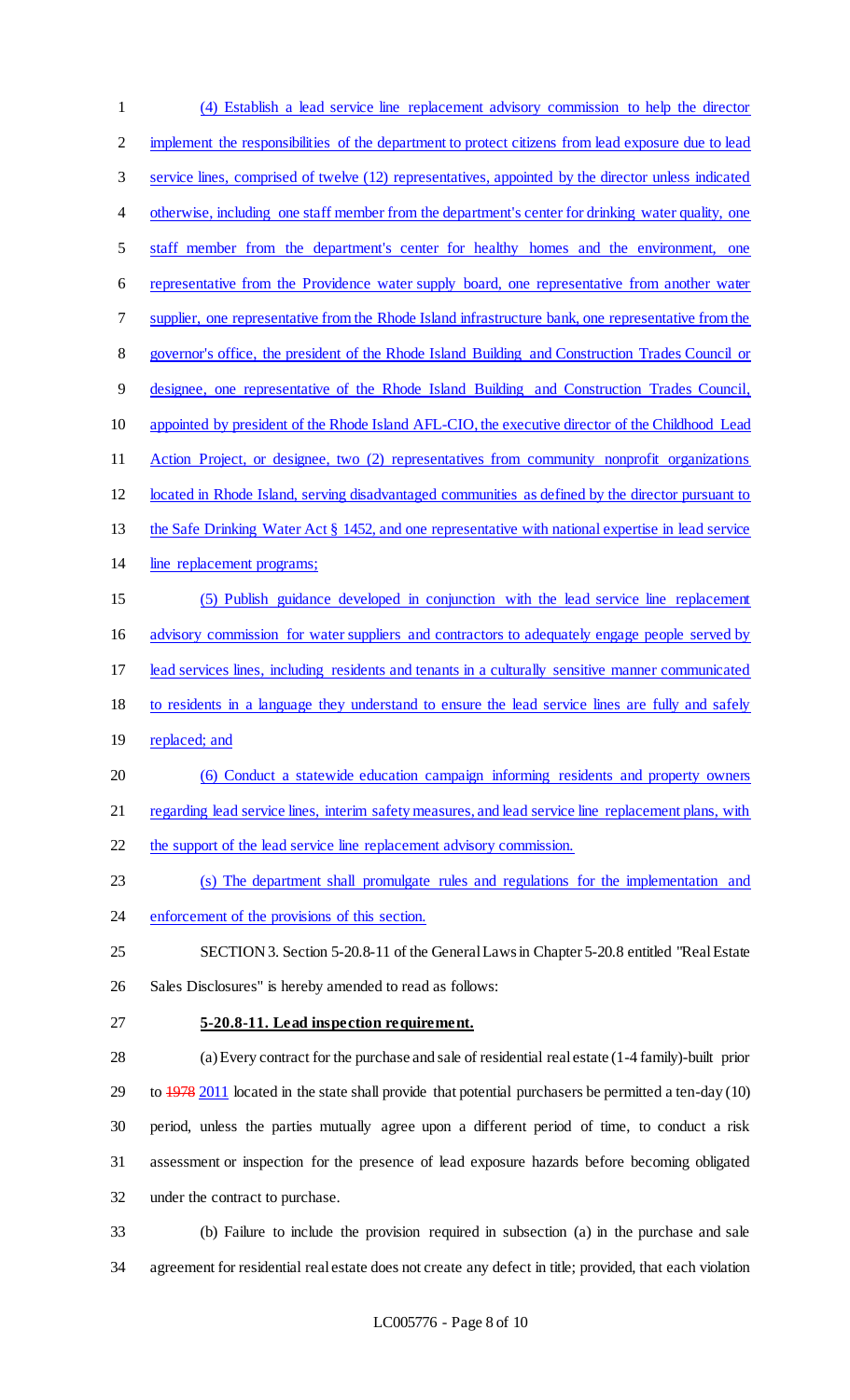| $\mathbf{1}$   | (4) Establish a lead service line replacement advisory commission to help the director                          |
|----------------|-----------------------------------------------------------------------------------------------------------------|
| $\overline{c}$ | implement the responsibilities of the department to protect citizens from lead exposure due to lead             |
| 3              | service lines, comprised of twelve (12) representatives, appointed by the director unless indicated             |
| 4              | otherwise, including one staff member from the department's center for drinking water quality, one              |
| 5              | staff member from the department's center for healthy homes and the environment, one                            |
| 6              | representative from the Providence water supply board, one representative from another water                    |
| 7              | supplier, one representative from the Rhode Island infrastructure bank, one representative from the             |
| 8              | governor's office, the president of the Rhode Island Building and Construction Trades Council or                |
| 9              | designee, one representative of the Rhode Island Building and Construction Trades Council,                      |
| 10             | appointed by president of the Rhode Island AFL-CIO, the executive director of the Childhood Lead                |
| 11             | Action Project, or designee, two (2) representatives from community nonprofit organizations                     |
| 12             | located in Rhode Island, serving disadvantaged communities as defined by the director pursuant to               |
| 13             | the Safe Drinking Water Act § 1452, and one representative with national expertise in lead service              |
| 14             | line replacement programs;                                                                                      |
| 15             | (5) Publish guidance developed in conjunction with the lead service line replacement                            |
| 16             | advisory commission for water suppliers and contractors to adequately engage people served by                   |
| 17             | lead services lines, including residents and tenants in a culturally sensitive manner communicated              |
| 18             | to residents in a language they understand to ensure the lead service lines are fully and safely                |
| 19             | replaced; and                                                                                                   |
| 20             | (6) Conduct a statewide education campaign informing residents and property owners                              |
| 21             | regarding lead service lines, interim safety measures, and lead service line replacement plans, with            |
| 22             | the support of the lead service line replacement advisory commission.                                           |
| 23             | (s) The department shall promulgate rules and regulations for the implementation and                            |
| 24             | enforcement of the provisions of this section.                                                                  |
| 25             | SECTION 3. Section 5-20.8-11 of the General Laws in Chapter 5-20.8 entitled "Real Estate"                       |
| 26             | Sales Disclosures" is hereby amended to read as follows:                                                        |
| 27             | 5-20.8-11. Lead inspection requirement.                                                                         |
| 28             | (a) Every contract for the purchase and sale of residential real estate (1-4 family)-built prior                |
| 29             | to $\frac{1978}{2011}$ located in the state shall provide that potential purchasers be permitted a ten-day (10) |
| 30             | period, unless the parties mutually agree upon a different period of time, to conduct a risk                    |
| 31             | assessment or inspection for the presence of lead exposure hazards before becoming obligated                    |
| 32             | under the contract to purchase.                                                                                 |
| 33             | (b) Failure to include the provision required in subsection (a) in the purchase and sale                        |
| 34             | agreement for residential real estate does not create any defect in title; provided, that each violation        |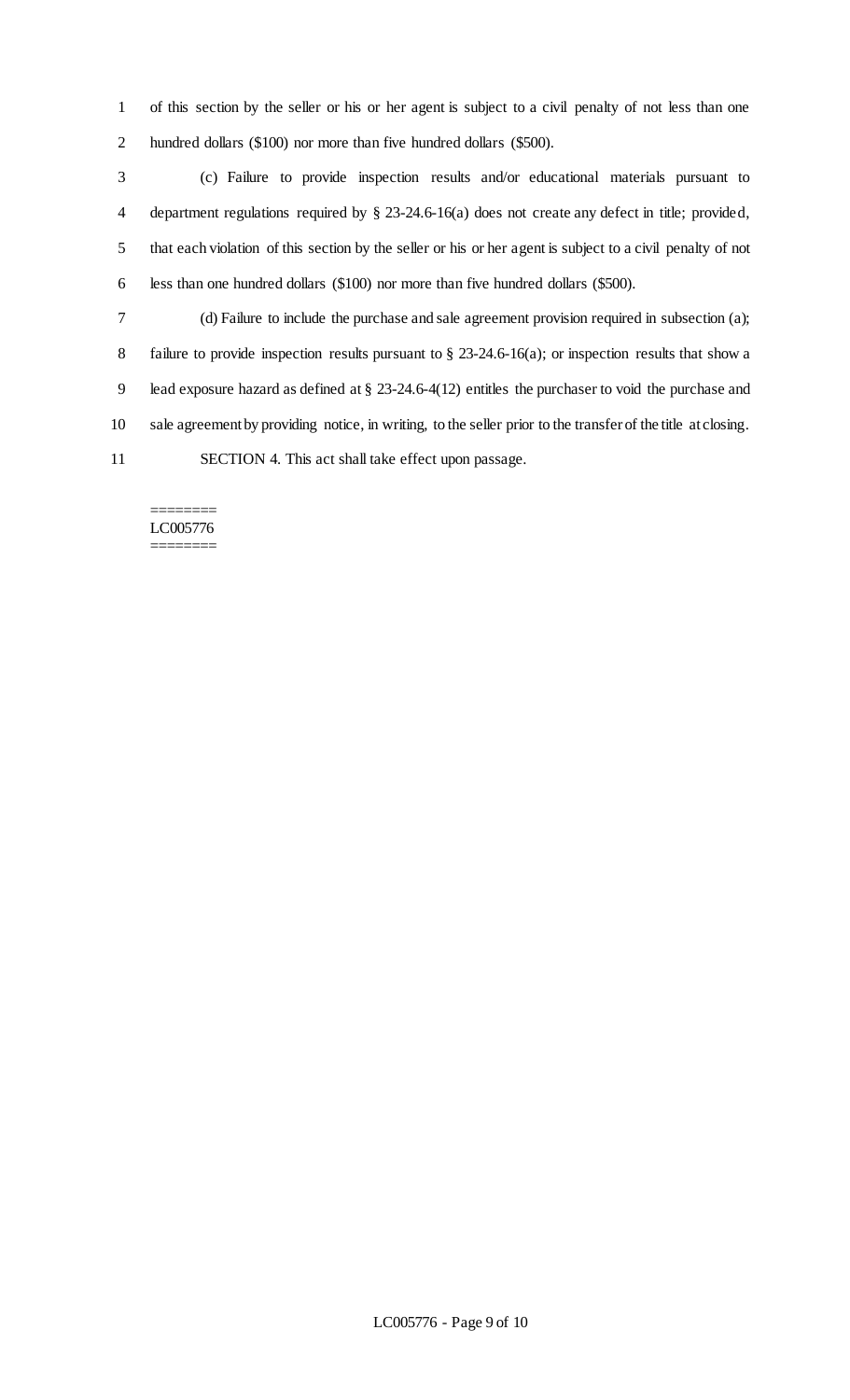of this section by the seller or his or her agent is subject to a civil penalty of not less than one hundred dollars (\$100) nor more than five hundred dollars (\$500).

 (c) Failure to provide inspection results and/or educational materials pursuant to department regulations required by § 23-24.6-16(a) does not create any defect in title; provided, that each violation of this section by the seller or his or her agent is subject to a civil penalty of not less than one hundred dollars (\$100) nor more than five hundred dollars (\$500).

 (d) Failure to include the purchase and sale agreement provision required in subsection (a); failure to provide inspection results pursuant to § 23-24.6-16(a); or inspection results that show a lead exposure hazard as defined at § 23-24.6-4(12) entitles the purchaser to void the purchase and sale agreement by providing notice, in writing, to the seller prior to the transfer of the title at closing. SECTION 4. This act shall take effect upon passage.

#### ======== LC005776 ========